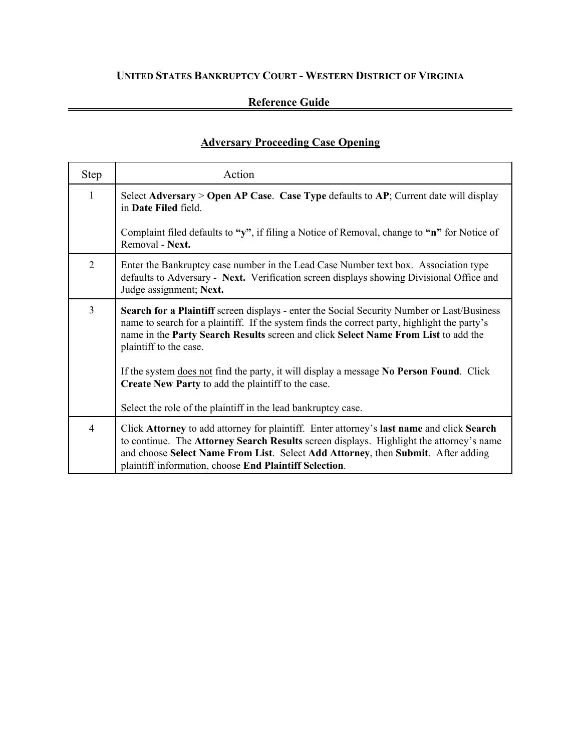# **UNITED STATES BANKRUPTCY COURT - WESTERN DISTRICT OF VIRGINIA**

### **Reference Guide**

### **Adversary Proceeding Case Opening**

| Step           | Action                                                                                                                                                                                                                                                                                                                             |
|----------------|------------------------------------------------------------------------------------------------------------------------------------------------------------------------------------------------------------------------------------------------------------------------------------------------------------------------------------|
| $\mathbf{1}$   | Select Adversary > Open AP Case. Case Type defaults to AP; Current date will display<br>in Date Filed field.                                                                                                                                                                                                                       |
|                | Complaint filed defaults to "y", if filing a Notice of Removal, change to "n" for Notice of<br>Removal - Next.                                                                                                                                                                                                                     |
| 2              | Enter the Bankruptcy case number in the Lead Case Number text box. Association type<br>defaults to Adversary - Next. Verification screen displays showing Divisional Office and<br>Judge assignment; Next.                                                                                                                         |
| $\overline{3}$ | Search for a Plaintiff screen displays - enter the Social Security Number or Last/Business<br>name to search for a plaintiff. If the system finds the correct party, highlight the party's<br>name in the Party Search Results screen and click Select Name From List to add the<br>plaintiff to the case.                         |
|                | If the system does not find the party, it will display a message No Person Found. Click<br>Create New Party to add the plaintiff to the case.                                                                                                                                                                                      |
|                | Select the role of the plaintiff in the lead bankruptcy case.                                                                                                                                                                                                                                                                      |
| 4              | Click Attorney to add attorney for plaintiff. Enter attorney's last name and click Search<br>to continue. The Attorney Search Results screen displays. Highlight the attorney's name<br>and choose Select Name From List. Select Add Attorney, then Submit. After adding<br>plaintiff information, choose End Plaintiff Selection. |